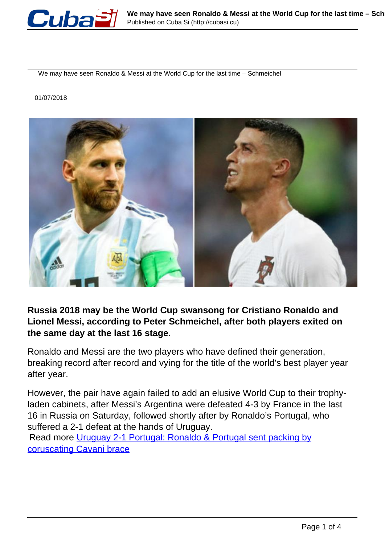

We may have seen Ronaldo & Messi at the World Cup for the last time – Schmeichel

## 01/07/2018



**Russia 2018 may be the World Cup swansong for Cristiano Ronaldo and Lionel Messi, according to Peter Schmeichel, after both players exited on the same day at the last 16 stage.**

Ronaldo and Messi are the two players who have defined their generation, breaking record after record and vying for the title of the world's best player year after year.

However, the pair have again failed to add an elusive World Cup to their trophyladen cabinets, after Messi's Argentina were defeated 4-3 by France in the last 16 in Russia on Saturday, followed shortly after by Ronaldo's Portugal, who suffered a 2-1 defeat at the hands of Uruguay.

Read more [Uruguay 2-1 Portugal: Ronaldo & Portugal sent packing by](https://www.rt.com/sport/431373-uruguay-portugal-world-cup-ronaldo-out/) [coruscating Cavani brace](https://www.rt.com/sport/431373-uruguay-portugal-world-cup-ronaldo-out/)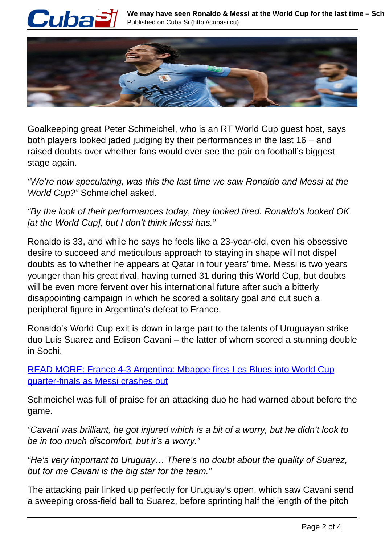



Goalkeeping great Peter Schmeichel, who is an RT World Cup guest host, says both players looked jaded judging by their performances in the last 16 – and raised doubts over whether fans would ever see the pair on football's biggest stage again.

"We're now speculating, was this the last time we saw Ronaldo and Messi at the World Cup?" Schmeichel asked.

"By the look of their performances today, they looked tired. Ronaldo's looked OK [at the World Cup], but I don't think Messi has."

Ronaldo is 33, and while he says he feels like a 23-year-old, even his obsessive desire to succeed and meticulous approach to staying in shape will not dispel doubts as to whether he appears at Qatar in four years' time. Messi is two years younger than his great rival, having turned 31 during this World Cup, but doubts will be even more fervent over his international future after such a bitterly disappointing campaign in which he scored a solitary goal and cut such a peripheral figure in Argentina's defeat to France.

Ronaldo's World Cup exit is down in large part to the talents of Uruguayan strike duo Luis Suarez and Edison Cavani – the latter of whom scored a stunning double in Sochi.

READ MORE: France 4-3 Argentina: Mbappe fires Les Blues into World Cup quarter-finals as Messi crashes out

Schmeichel was full of praise for an attacking duo he had warned about before the game.

"Cavani was brilliant, he got injured which is a bit of a worry, but he didn't look to be in too much discomfort, but it's a worry."

"He's very important to Uruguay… There's no doubt about the quality of Suarez, but for me Cavani is the big star for the team."

The attacking pair linked up perfectly for Uruguay's open, which saw Cavani send a sweeping cross-field ball to Suarez, before sprinting half the length of the pitch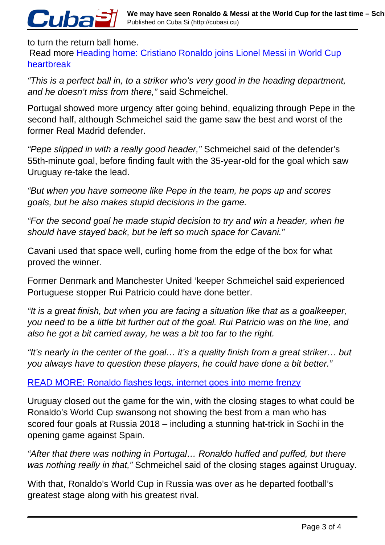## to turn the return ball home.

Cuba

Read more Heading home: Cristiano Ronaldo joins Lionel Messi in World Cup heartbreak

"This is a perfect ball in, to a striker who's very good in the heading department, and he doesn't miss from there," said Schmeichel.

Portugal showed more urgency after going behind, equalizing through Pepe in the second half, although Schmeichel said the game saw the best and worst of the former Real Madrid defender.

"Pepe slipped in with a really good header," Schmeichel said of the defender's 55th-minute goal, before finding fault with the 35-year-old for the goal which saw Uruguay re-take the lead.

"But when you have someone like Pepe in the team, he pops up and scores goals, but he also makes stupid decisions in the game.

"For the second goal he made stupid decision to try and win a header, when he should have stayed back, but he left so much space for Cavani."

Cavani used that space well, curling home from the edge of the box for what proved the winner.

Former Denmark and Manchester United 'keeper Schmeichel said experienced Portuguese stopper Rui Patricio could have done better.

"It is a great finish, but when you are facing a situation like that as a goalkeeper, you need to be a little bit further out of the goal. Rui Patricio was on the line, and also he got a bit carried away, he was a bit too far to the right.

"It's nearly in the center of the goal… it's a quality finish from a great striker… but you always have to question these players, he could have done a bit better."

READ MORE: Ronaldo flashes legs, internet goes into meme frenzy

Uruguay closed out the game for the win, with the closing stages to what could be Ronaldo's World Cup swansong not showing the best from a man who has scored four goals at Russia 2018 – including a stunning hat-trick in Sochi in the opening game against Spain.

"After that there was nothing in Portugal… Ronaldo huffed and puffed, but there was nothing really in that," Schmeichel said of the closing stages against Uruguay.

With that, Ronaldo's World Cup in Russia was over as he departed football's greatest stage along with his greatest rival.